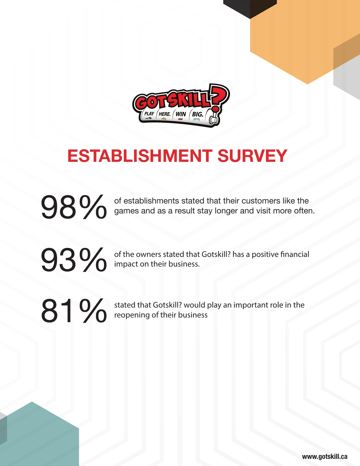

# **ESTABLISHMENT SURVEY**

**989 Compares and as a result stay longer and visit more often and visit more often and visit more often** games and as a result stay longer and visit more often.

**93 %** of the owners stated that Gotskill? has a positive financial impact on their business. impact on their business.

81% stated that Gotskill? would play an important role in the reopening of their business

**www.gotskill.ca**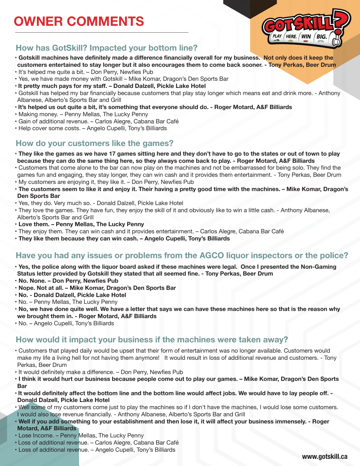# **OWNER COMMENTS**



### **How has GotSkill? Impacted your bottom line?**

- **Gotskill machines have definitely made a difference financially overall for my business. Not only does it keep the customers entertained to stay longer but it also encourages them to come back sooner. - Tony Perkas, Beer Drum**
- It's helped me quite a bit. Don Perry, Newfies Pub
- Yes, we have made money with Gotskill Mike Komar, Dragon's Den Sports Bar
- **It pretty much pays for my staff. Donald Dalzell, Pickle Lake Hotel**
- Gotskill has helped my bar financially because customers that play stay longer which means eat and drink more. Anthony Albanese, Alberto's Sports Bar and Grill
- **It's helped us out quite a bit, it's something that everyone should do. Roger Motard, A&F Billiards**
- Making money. Penny Mellas, The Lucky Penny
- Gain of additional revenue. Carlos Alegre, Cabana Bar Café
- Help cover some costs. Angelo Cupelli, Tony's Billiards

#### **How do your customers like the games?**

- **They like the games as we have 17 games sitting here and they don't have to go to the states or out of town to play because they can do the same thing here, so they always come back to play. - Roger Motard, A&F Billiards**
- Customers that come alone to the bar can now play on the machines and not be embarrassed for being solo. They find the games fun and engaging, they stay longer, they can win cash and it provides them entertainment. - Tony Perkas, Beer Drum
- My customers are enjoying it, they like it. Don Perry, Newfies Pub
- **The customers seem to like it and enjoy it. Their having a pretty good time with the machines. Mike Komar, Dragon's Den Sports Bar**
- Yes, they do. Very much so. Donald Dalzell, Pickle Lake Hotel
- They love the games. They have fun, they enjoy the skill of it and obviously like to win a little cash. Anthony Albanese, Alberto's Sports Bar and Grill
- **Love them. Penny Mellas, The Lucky Penny**
- They enjoy them. They can win cash and it provides entertainment. Carlos Alegre, Cabana Bar Café
- **They like them because they can win cash. Angelo Cupelli, Tony's Billiards**

### **Have you had any issues or problems from the AGCO liquor inspectors or the police?**

- **Yes, the police along with the liquor board asked if these machines were legal. Once I presented the Non-Gaming Status letter provided by Gotskill they stated that all seemed fine. - Tony Perkas, Beer Drum**
- **No. None. Don Perry, Newfies Pub**
- **Nope. Not at all. Mike Komar, Dragon's Den Sports Bar**
- **No. Donald Dalzell, Pickle Lake Hotel**
- No. Penny Mellas, The Lucky Penny
- **No, we have done quite well. We have a letter that says we can have these machines here so that is the reason why we brought them in. - Roger Motard, A&F Billiards**
- No. Angelo Cupelli, Tony's Billiards

#### **How would it impact your business if the machines were taken away?**

- Customers that played daily would be upset that their form of entertainment was no longer available. Customers would make my life a living hell for not having them anymore! It would result in loss of additional revenue and customers. - Tony Perkas, Beer Drum
- It would definitely make a difference. Don Perry, Newfies Pub
- **I think it would hurt our business because people come out to play our games. Mike Komar, Dragon's Den Sports Bar**
- **• It would definitely affect the bottom line and the bottom line would affect jobs. We would have to lay people off. Donald Dalzell, Pickle Lake Hotel**
- Well some of my customers come just to play the machines so if I don't have the machines, I would lose some customers. I would also lose revenue financially. - Anthony Albanese, Alberto's Sports Bar and Grill
- **Well if you add something to your establishment and then lose it, it will affect your business immensely. Roger Motard, A&F Billiards**
- Lose Income. Penny Mellas, The Lucky Penny
- Loss of additional revenue. Carlos Alegre, Cabana Bar Café
- Loss of additional revenue. Angelo Cupelli, Tony's Billiards